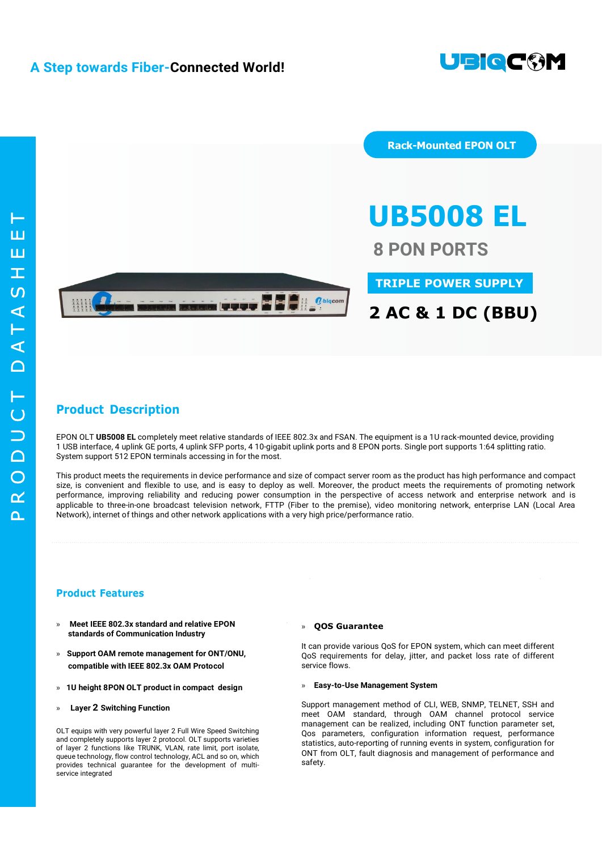

 $\Omega$  $\alpha$  $\overline{O}$  $\Box$  $\Box$  $\overline{C}$ T  $\cap$  $\blacktriangleleft$  $\vdash$  $\blacktriangleleft$  $\Omega$  $\top$  $\overline{\mathbf{L}}$  $\mathbf{L}$ T



**Rack-Mounted EPON OLT**

**UB5008 EL 8 PON PORTS**

**TRIPLE POWER SUPPLY**

## **Product Description**

EPON OLT **UB5008 EL** completely meet relative standards of IEEE 802.3x and FSAN. The equipment is a 1U rack-mounted device, providing 1 USB interface, 4 uplink GE ports, 4 uplink SFP ports, 4 10-gigabit uplink ports and 8 EPON ports. Single port supports 1:64 splitting ratio. System support 512 EPON terminals accessing in for the most.

This product meets the requirements in device performance and size of compact server room as the product has high performance and compact size, is convenient and flexible to use, and is easy to deploy as well. Moreover, the product meets the requirements of promoting network performance, improving reliability and reducing power consumption in the perspective of access network and enterprise network and is applicable to three-in-one broadcast television network, FTTP (Fiber to the premise), video monitoring network, enterprise LAN (Local Area Network), internet of things and other network applications with a very high price/performance ratio.

### **Product Features**

- **» Meet IEEE 802.3x standard and relative EPON standards of Communication Industry**
- **» Support OAM remote management for ONT/ONU, compatible with IEEE 802.3x OAM Protocol**
- **» 1U height 8PON OLT product in compact design**
- **» Layer 2 Switching Function**

OLT equips with very powerful layer 2 Full Wire Speed Switching and completely supports layer 2 protocol. OLT supports varieties of layer 2 functions like TRUNK, VLAN, rate limit, port isolate, queue technology, flow control technology, ACL and so on, which provides technical guarantee for the development of multiservice integrated

#### **» QOS Guarantee**

It can provide various QoS for EPON system, which can meet different QoS requirements for delay, jitter, and packet loss rate of different service flows.

#### **» Easy-to-Use Management System**

Support management method of CLI, WEB, SNMP, TELNET, SSH and meet OAM standard, through OAM channel protocol service management can be realized, including ONT function parameter set, Qos parameters, configuration information request, performance statistics, auto-reporting of running events in system, configuration for ONT from OLT, fault diagnosis and management of performance and safety.